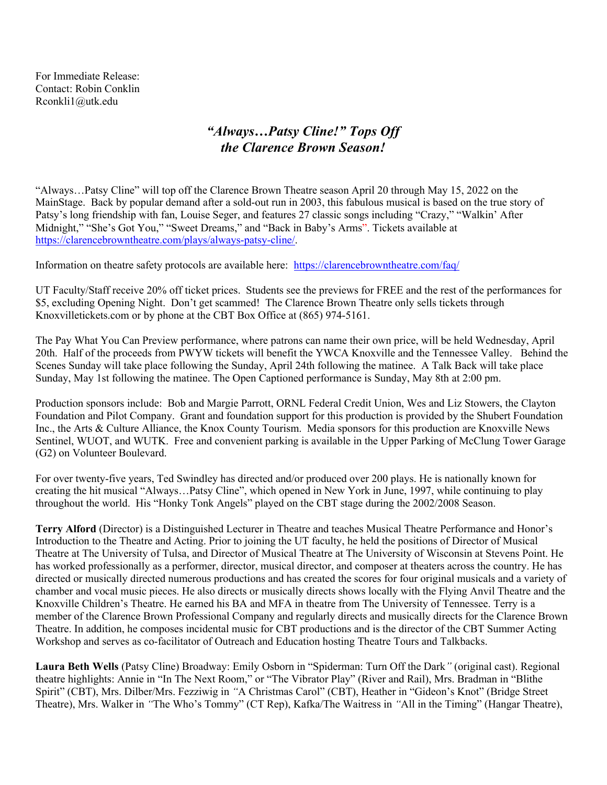For Immediate Release: Contact: Robin Conklin Rconkli1@utk.edu

## *"Always…Patsy Cline!" Tops Off the Clarence Brown Season!*

"Always…Patsy Cline" will top off the Clarence Brown Theatre season April 20 through May 15, 2022 on the MainStage. Back by popular demand after a sold-out run in 2003, this fabulous musical is based on the true story of Patsy's long friendship with fan, Louise Seger, and features 27 classic songs including "Crazy," "Walkin' After Midnight," "She's Got You," "Sweet Dreams," and "Back in Baby's Arms". Tickets available at https://clarencebrowntheatre.com/plays/always-patsy-cline/.

Information on theatre safety protocols are available here: https://clarencebrowntheatre.com/faq/

UT Faculty/Staff receive 20% off ticket prices. Students see the previews for FREE and the rest of the performances for \$5, excluding Opening Night. Don't get scammed! The Clarence Brown Theatre only sells tickets through Knoxvilletickets.com or by phone at the CBT Box Office at (865) 974-5161.

The Pay What You Can Preview performance, where patrons can name their own price, will be held Wednesday, April 20th. Half of the proceeds from PWYW tickets will benefit the YWCA Knoxville and the Tennessee Valley. Behind the Scenes Sunday will take place following the Sunday, April 24th following the matinee. A Talk Back will take place Sunday, May 1st following the matinee. The Open Captioned performance is Sunday, May 8th at 2:00 pm.

Production sponsors include: Bob and Margie Parrott, ORNL Federal Credit Union, Wes and Liz Stowers, the Clayton Foundation and Pilot Company. Grant and foundation support for this production is provided by the Shubert Foundation Inc., the Arts & Culture Alliance, the Knox County Tourism. Media sponsors for this production are Knoxville News Sentinel, WUOT, and WUTK. Free and convenient parking is available in the Upper Parking of McClung Tower Garage (G2) on Volunteer Boulevard.

For over twenty-five years, Ted Swindley has directed and/or produced over 200 plays. He is nationally known for creating the hit musical "Always…Patsy Cline", which opened in New York in June, 1997, while continuing to play throughout the world. His "Honky Tonk Angels" played on the CBT stage during the 2002/2008 Season.

**Terry Alford** (Director) is a Distinguished Lecturer in Theatre and teaches Musical Theatre Performance and Honor's Introduction to the Theatre and Acting. Prior to joining the UT faculty, he held the positions of Director of Musical Theatre at The University of Tulsa, and Director of Musical Theatre at The University of Wisconsin at Stevens Point. He has worked professionally as a performer, director, musical director, and composer at theaters across the country. He has directed or musically directed numerous productions and has created the scores for four original musicals and a variety of chamber and vocal music pieces. He also directs or musically directs shows locally with the Flying Anvil Theatre and the Knoxville Children's Theatre. He earned his BA and MFA in theatre from The University of Tennessee. Terry is a member of the Clarence Brown Professional Company and regularly directs and musically directs for the Clarence Brown Theatre. In addition, he composes incidental music for CBT productions and is the director of the CBT Summer Acting Workshop and serves as co-facilitator of Outreach and Education hosting Theatre Tours and Talkbacks.

**Laura Beth Wells** (Patsy Cline) Broadway: Emily Osborn in "Spiderman: Turn Off the Dark*"* (original cast). Regional theatre highlights: Annie in "In The Next Room," or "The Vibrator Play" (River and Rail), Mrs. Bradman in "Blithe Spirit" (CBT), Mrs. Dilber/Mrs. Fezziwig in *"*A Christmas Carol" (CBT), Heather in "Gideon's Knot" (Bridge Street Theatre), Mrs. Walker in *"*The Who's Tommy" (CT Rep), Kafka/The Waitress in *"*All in the Timing" (Hangar Theatre),